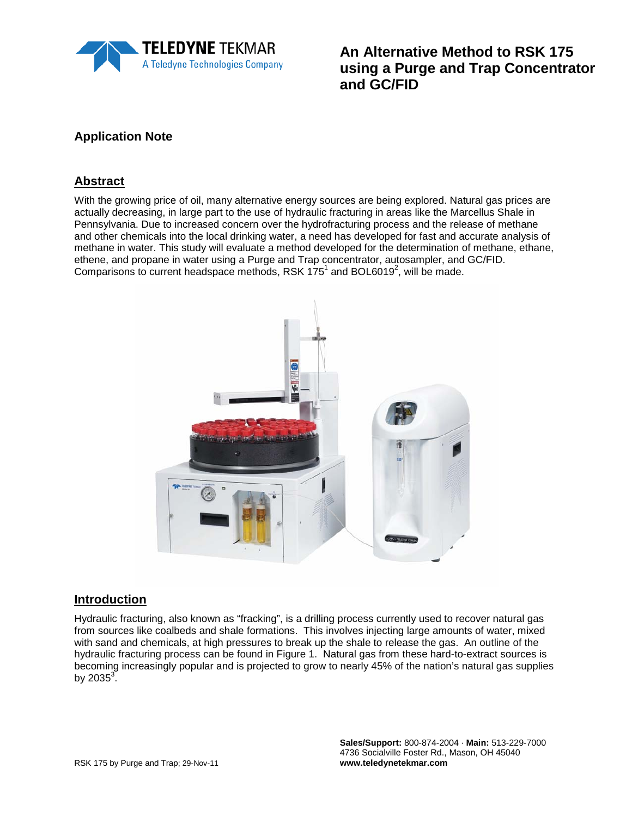

**An Alternative Method to RSK 175 using a Purge and Trap Concentrator and GC/FID**

# **Application Note**

### **Abstract**

With the growing price of oil, many alternative energy sources are being explored. Natural gas prices are actually decreasing, in large part to the use of hydraulic fracturing in areas like the Marcellus Shale in Pennsylvania. Due to increased concern over the hydrofracturing process and the release of methane and other chemicals into the local drinking water, a need has developed for fast and accurate analysis of methane in water. This study will evaluate a method developed for the determination of methane, ethane, ethene, and propane in water using a Purge and Trap concentrator, autosampler, and GC/FID. Comparisons to current headspace methods, RSK 175<sup>1</sup> and BOL6019<sup>2</sup>, will be made.



#### **Introduction**

Hydraulic fracturing, also known as "fracking", is a drilling process currently used to recover natural gas from sources like coalbeds and shale formations. This involves injecting large amounts of water, mixed with sand and chemicals, at high pressures to break up the shale to release the gas. An outline of the hydraulic fracturing process can be found in Figure 1. Natural gas from these hard-to-extract sources is becoming increasingly popular and is projected to grow to nearly 45% of the nation's natural gas supplies by 2035 $\degree$ .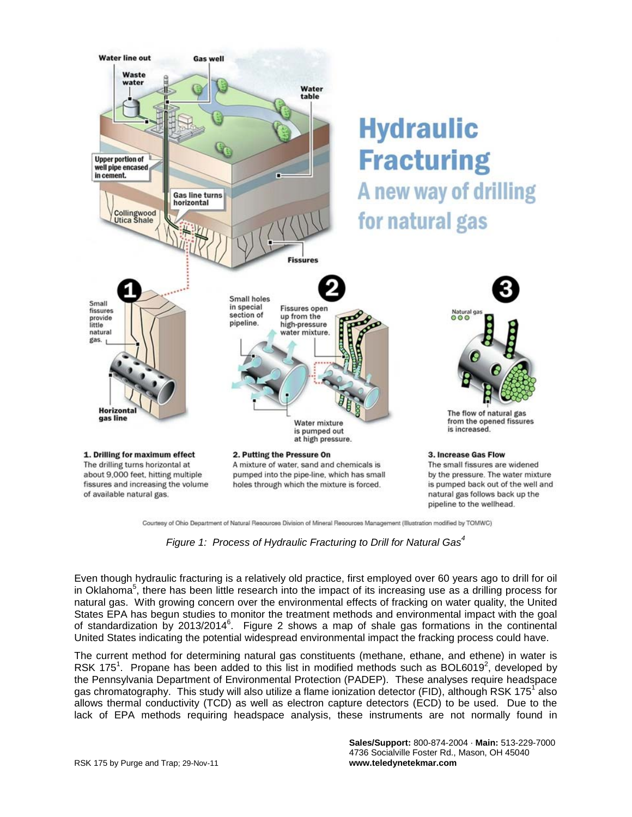

Courtesy of Ohio Department of Natural Resources Division of Mineral Resources Management (Illustration modified by TOMWC)

Even though hydraulic fracturing is a relatively old practice, first employed over 60 years ago to drill for oil in Oklahoma<sup>5</sup>, there has been little research into the impact of its increasing use as a drilling process for natural gas. With growing concern over the environmental effects of fracking on water quality, the United States EPA has begun studies to monitor the treatment methods and environmental impact with the goal of standardization by 2013/2014<sup>6</sup>. Figure 2 shows a map of shale gas formations in the continental United States indicating the potential widespread environmental impact the fracking process could have.

The current method for determining natural gas constituents (methane, ethane, and ethene) in water is RSK 175<sup>1</sup>. Propane has been added to this list in modified methods such as BOL6019<sup>2</sup>, developed by the Pennsylvania Department of Environmental Protection (PADEP). These analyses require headspace gas chromatography. This study will also utilize a flame ionization detector (FID), although RSK 175<sup>1</sup> also allows thermal conductivity (TCD) as well as electron capture detectors (ECD) to be used. Due to the lack of EPA methods requiring headspace analysis, these instruments are not normally found in

*Figure 1: Process of Hydraulic Fracturing to Drill for Natural Gas<sup>4</sup>*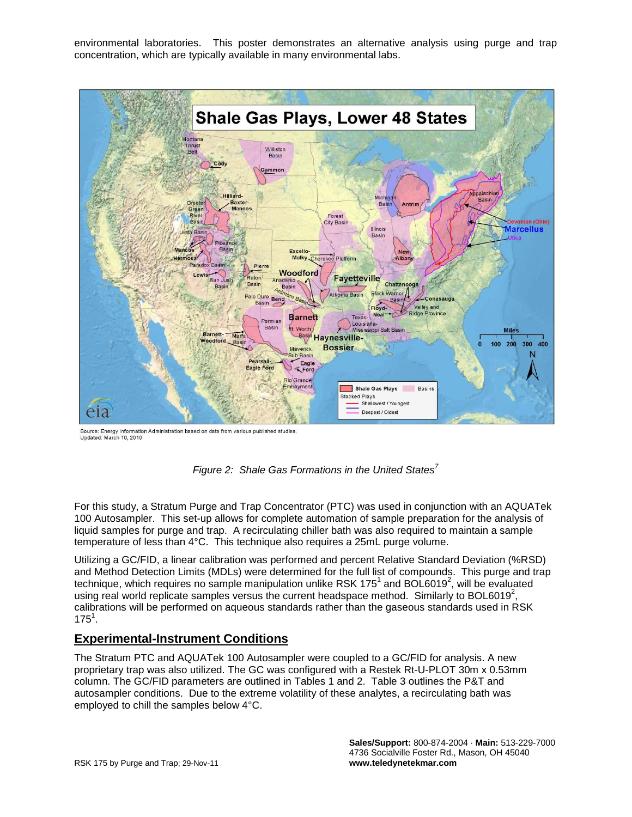environmental laboratories. This poster demonstrates an alternative analysis using purge and trap concentration, which are typically available in many environmental labs.



Source: Energy Information Administration based on data from various published studies. Updated: March 10, 2010



For this study, a Stratum Purge and Trap Concentrator (PTC) was used in conjunction with an AQUATek 100 Autosampler. This set-up allows for complete automation of sample preparation for the analysis of liquid samples for purge and trap. A recirculating chiller bath was also required to maintain a sample temperature of less than 4°C. This technique also requires a 25mL purge volume.

Utilizing a GC/FID, a linear calibration was performed and percent Relative Standard Deviation (%RSD) and Method Detection Limits (MDLs) were determined for the full list of compounds. This purge and trap technique, which requires no sample manipulation unlike RSK 175<sup>1</sup> and BOL6019<sup>2</sup>, will be evaluated using real world replicate samples versus the current headspace method. Similarly to BOL6019<sup>2</sup>, calibrations will be performed on aqueous standards rather than the gaseous standards used in RSK  $175^1$ .

## **Experimental-Instrument Conditions**

The Stratum PTC and AQUATek 100 Autosampler were coupled to a GC/FID for analysis. A new proprietary trap was also utilized. The GC was configured with a Restek Rt-U-PLOT 30m x 0.53mm column. The GC/FID parameters are outlined in Tables 1 and 2. Table 3 outlines the P&T and autosampler conditions. Due to the extreme volatility of these analytes, a recirculating bath was employed to chill the samples below 4°C.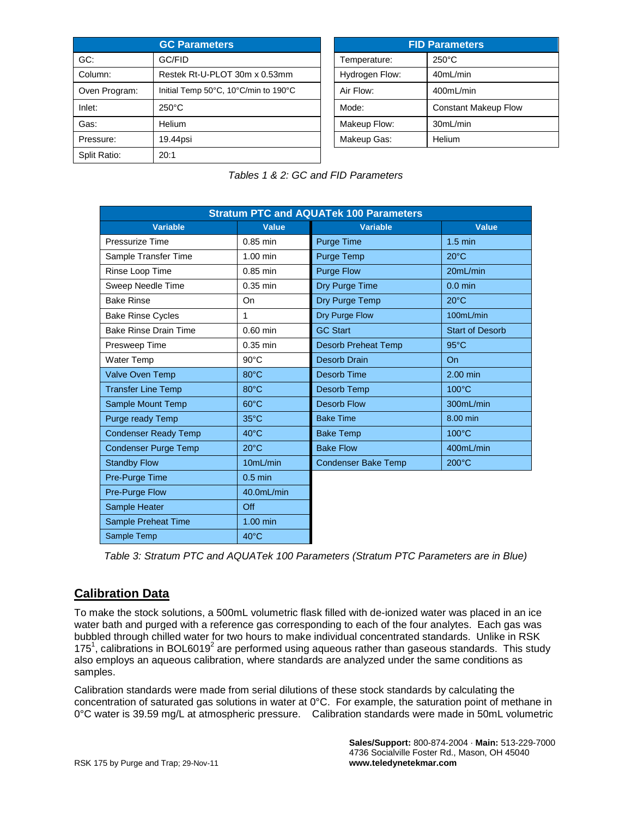| <b>GC Parameters</b> |                                      | <b>FID Parameters</b> |                             |  |
|----------------------|--------------------------------------|-----------------------|-----------------------------|--|
| GC:                  | GC/FID                               | Temperature:          | $250^{\circ}$ C             |  |
| Column:              | Restek Rt-U-PLOT 30m x 0.53mm        | Hydrogen Flow:        | 40mL/min                    |  |
| Oven Program:        | Initial Temp 50°C, 10°C/min to 190°C | Air Flow:             | 400mL/min                   |  |
| Inlet:               | $250^{\circ}$ C                      | Mode:                 | <b>Constant Makeup Flow</b> |  |
| Gas:                 | <b>Helium</b>                        | Makeup Flow:          | 30mL/min                    |  |
| Pressure:            | 19.44psi                             | Makeup Gas:           | Helium                      |  |
| Split Ratio:         | 20:1                                 |                       |                             |  |

| <b>FID Parameters</b> |                             |  |  |  |
|-----------------------|-----------------------------|--|--|--|
| Temperature:          | $250^{\circ}$ C             |  |  |  |
| Hydrogen Flow:        | 40mL/min                    |  |  |  |
| Air Flow:             | 400mL/min                   |  |  |  |
| Mode:                 | <b>Constant Makeup Flow</b> |  |  |  |
| Makeup Flow:          | 30mL/min                    |  |  |  |
| Makeup Gas:           | Helium                      |  |  |  |

#### *Tables 1 & 2: GC and FID Parameters*

| <b>Stratum PTC and AQUATek 100 Parameters</b> |                |                            |                        |  |  |  |  |
|-----------------------------------------------|----------------|----------------------------|------------------------|--|--|--|--|
| <b>Variable</b>                               | <b>Value</b>   | <b>Variable</b>            | <b>Value</b>           |  |  |  |  |
| Pressurize Time                               | $0.85$ min     | <b>Purge Time</b>          | $1.5 \text{ min}$      |  |  |  |  |
| Sample Transfer Time                          | $1.00$ min     | <b>Purge Temp</b>          | $20^{\circ}$ C         |  |  |  |  |
| Rinse Loop Time                               | $0.85$ min     | <b>Purge Flow</b>          | 20mL/min               |  |  |  |  |
| Sweep Needle Time                             | $0.35$ min     | Dry Purge Time             | $0.0$ min              |  |  |  |  |
| <b>Bake Rinse</b>                             | On             | Dry Purge Temp             | $20^{\circ}$ C         |  |  |  |  |
| <b>Bake Rinse Cycles</b>                      | 1              | Dry Purge Flow             | 100mL/min              |  |  |  |  |
| <b>Bake Rinse Drain Time</b>                  | $0.60$ min     | <b>GC Start</b>            | <b>Start of Desorb</b> |  |  |  |  |
| Presweep Time                                 | $0.35$ min     | <b>Desorb Preheat Temp</b> | $95^{\circ}$ C         |  |  |  |  |
| Water Temp                                    | $90^{\circ}$ C | Desorb Drain               | <b>On</b>              |  |  |  |  |
| <b>Valve Oven Temp</b>                        | $80^{\circ}$ C | <b>Desorb Time</b>         | 2.00 min               |  |  |  |  |
| <b>Transfer Line Temp</b>                     | $80^{\circ}$ C | Desorb Temp                | $100^{\circ}$ C        |  |  |  |  |
| Sample Mount Temp                             | $60^{\circ}$ C | <b>Desorb Flow</b>         | 300mL/min              |  |  |  |  |
| Purge ready Temp                              | $35^{\circ}$ C | <b>Bake Time</b>           | 8.00 min               |  |  |  |  |
| <b>Condenser Ready Temp</b>                   | $40^{\circ}$ C | <b>Bake Temp</b>           | $100^{\circ}$ C        |  |  |  |  |
| <b>Condenser Purge Temp</b>                   | $20^{\circ}$ C | <b>Bake Flow</b>           | 400mL/min              |  |  |  |  |
| <b>Standby Flow</b>                           | 10mL/min       | <b>Condenser Bake Temp</b> | $200^{\circ}$ C        |  |  |  |  |
| Pre-Purge Time                                | $0.5$ min      |                            |                        |  |  |  |  |
| Pre-Purge Flow                                | 40.0mL/min     |                            |                        |  |  |  |  |
| Sample Heater                                 | Off            |                            |                        |  |  |  |  |
| Sample Preheat Time                           | $1.00$ min     |                            |                        |  |  |  |  |
| Sample Temp                                   | $40^{\circ}$ C |                            |                        |  |  |  |  |

*Table 3: Stratum PTC and AQUATek 100 Parameters (Stratum PTC Parameters are in Blue)*

## **Calibration Data**

To make the stock solutions, a 500mL volumetric flask filled with de-ionized water was placed in an ice water bath and purged with a reference gas corresponding to each of the four analytes. Each gas was bubbled through chilled water for two hours to make individual concentrated standards. Unlike in RSK 175<sup>1</sup>, calibrations in BOL6019<sup>2</sup> are performed using aqueous rather than gaseous standards. This study also employs an aqueous calibration, where standards are analyzed under the same conditions as samples.

Calibration standards were made from serial dilutions of these stock standards by calculating the concentration of saturated gas solutions in water at 0°C. For example, the saturation point of methane in 0°C water is 39.59 mg/L at atmospheric pressure. Calibration standards were made in 50mL volumetric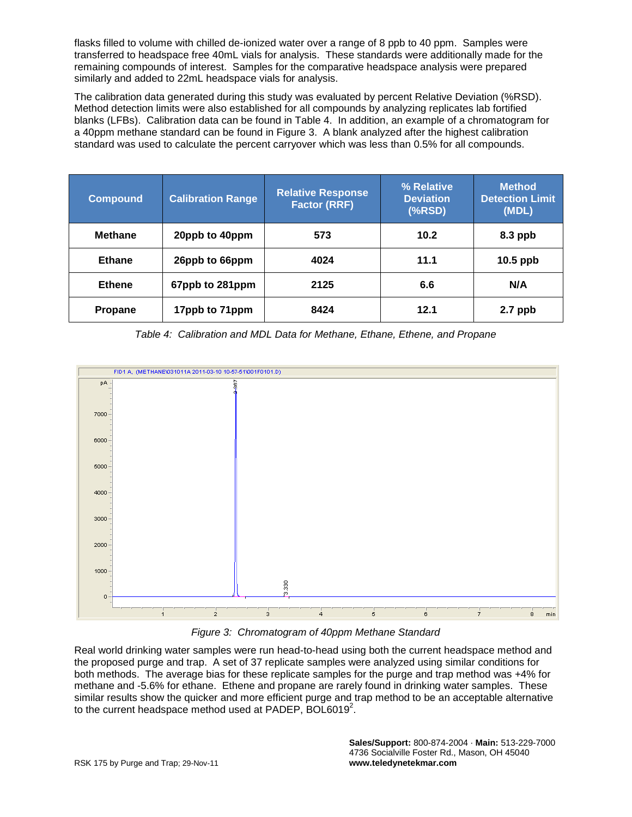flasks filled to volume with chilled de-ionized water over a range of 8 ppb to 40 ppm. Samples were transferred to headspace free 40mL vials for analysis. These standards were additionally made for the remaining compounds of interest. Samples for the comparative headspace analysis were prepared similarly and added to 22mL headspace vials for analysis.

The calibration data generated during this study was evaluated by percent Relative Deviation (%RSD). Method detection limits were also established for all compounds by analyzing replicates lab fortified blanks (LFBs). Calibration data can be found in Table 4. In addition, an example of a chromatogram for a 40ppm methane standard can be found in Figure 3. A blank analyzed after the highest calibration standard was used to calculate the percent carryover which was less than 0.5% for all compounds.

| <b>Compound</b> | <b>Calibration Range</b> | <b>Relative Response</b><br><b>Factor (RRF)</b> | % Relative<br><b>Deviation</b><br>$(*RSD)$ | <b>Method</b><br><b>Detection Limit</b><br>(MDL) |
|-----------------|--------------------------|-------------------------------------------------|--------------------------------------------|--------------------------------------------------|
| <b>Methane</b>  | 20ppb to 40ppm           | 573                                             | 10.2                                       | 8.3 ppb                                          |
| <b>Ethane</b>   | 26ppb to 66ppm           | 4024                                            | 11.1                                       | $10.5$ ppb                                       |
| <b>Ethene</b>   | 67ppb to 281ppm          | 2125                                            | 6.6                                        | N/A                                              |
| <b>Propane</b>  | 17ppb to 71ppm           | 8424                                            | 12.1                                       | $2.7$ ppb                                        |

*Table 4: Calibration and MDL Data for Methane, Ethane, Ethene, and Propane*



*Figure 3: Chromatogram of 40ppm Methane Standard*

Real world drinking water samples were run head-to-head using both the current headspace method and the proposed purge and trap. A set of 37 replicate samples were analyzed using similar conditions for both methods. The average bias for these replicate samples for the purge and trap method was +4% for methane and -5.6% for ethane. Ethene and propane are rarely found in drinking water samples. These similar results show the quicker and more efficient purge and trap method to be an acceptable alternative to the current headspace method used at PADEP, BOL6019<sup>2</sup>.